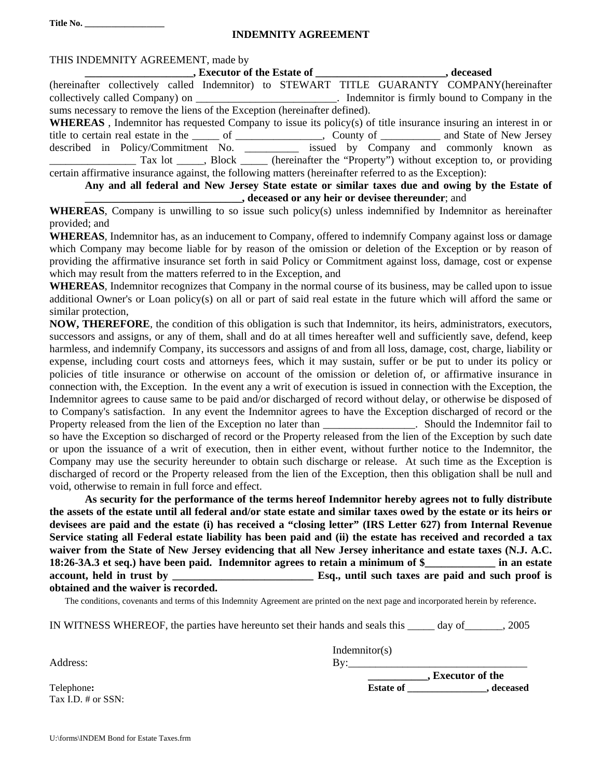**Title No. \_\_\_\_\_\_\_\_\_\_\_\_\_\_\_\_\_\_** 

## **INDEMNITY AGREEMENT**

| THIS INDEMNITY AGREEMENT, made by                                                                                  |
|--------------------------------------------------------------------------------------------------------------------|
|                                                                                                                    |
| (hereinafter collectively called Indemnitor) to STEWART TITLE GUARANTY COMPANY(hereinafter                         |
| collectively called Company) on ________________________________. Indemnitor is firmly bound to Company in the     |
| sums necessary to remove the liens of the Exception (hereinafter defined).                                         |
| WHEREAS, Indemnitor has requested Company to issue its policy(s) of title insurance insuring an interest in or     |
| title to certain real estate in the ______ of ____________________, County of ____________ and State of New Jersey |
| described in Policy/Commitment No. __________ issued by Company and commonly known as                              |
| Tax lot ____, Block _____ (hereinafter the "Property") without exception to, or providing                          |
| certain affirmative insurance against, the following matters (hereinafter referred to as the Exception):           |
| Any and all federal and New Jersey State estate or similar taxes due and owing by the Estate of                    |

**\_\_\_\_\_\_\_\_\_\_\_\_\_\_\_\_\_\_\_\_\_\_\_\_\_\_\_\_\_, deceased or any heir or devisee thereunder**; and

**WHEREAS**, Company is unwilling to so issue such policy(s) unless indemnified by Indemnitor as hereinafter provided; and

**WHEREAS**, Indemnitor has, as an inducement to Company, offered to indemnify Company against loss or damage which Company may become liable for by reason of the omission or deletion of the Exception or by reason of providing the affirmative insurance set forth in said Policy or Commitment against loss, damage, cost or expense which may result from the matters referred to in the Exception, and

**WHEREAS**, Indemnitor recognizes that Company in the normal course of its business, may be called upon to issue additional Owner's or Loan policy(s) on all or part of said real estate in the future which will afford the same or similar protection,

**NOW, THEREFORE**, the condition of this obligation is such that Indemnitor, its heirs, administrators, executors, successors and assigns, or any of them, shall and do at all times hereafter well and sufficiently save, defend, keep harmless, and indemnify Company, its successors and assigns of and from all loss, damage, cost, charge, liability or expense, including court costs and attorneys fees, which it may sustain, suffer or be put to under its policy or policies of title insurance or otherwise on account of the omission or deletion of, or affirmative insurance in connection with, the Exception. In the event any a writ of execution is issued in connection with the Exception, the Indemnitor agrees to cause same to be paid and/or discharged of record without delay, or otherwise be disposed of to Company's satisfaction. In any event the Indemnitor agrees to have the Exception discharged of record or the Property released from the lien of the Exception no later than the Should the Indemnitor fail to so have the Exception so discharged of record or the Property released from the lien of the Exception by such date or upon the issuance of a writ of execution, then in either event, without further notice to the Indemnitor, the Company may use the security hereunder to obtain such discharge or release. At such time as the Exception is discharged of record or the Property released from the lien of the Exception, then this obligation shall be null and void, otherwise to remain in full force and effect.

**As security for the performance of the terms hereof Indemnitor hereby agrees not to fully distribute the assets of the estate until all federal and/or state estate and similar taxes owed by the estate or its heirs or devisees are paid and the estate (i) has received a "closing letter" (IRS Letter 627) from Internal Revenue Service stating all Federal estate liability has been paid and (ii) the estate has received and recorded a tax waiver from the State of New Jersey evidencing that all New Jersey inheritance and estate taxes (N.J. A.C. 18:26-3A.3 et seq.) have been paid. Indemnitor agrees to retain a minimum of \$\_\_\_\_\_\_\_\_\_\_\_\_\_ in an estate account, held in trust by \_\_\_\_\_\_\_\_\_\_\_\_\_\_\_\_\_\_\_\_\_\_\_\_\_\_ Esq., until such taxes are paid and such proof is obtained and the waiver is recorded.** 

The conditions, covenants and terms of this Indemnity Agreement are printed on the next page and incorporated herein by reference.

IN WITNESS WHEREOF, the parties have hereunto set their hands and seals this \_\_\_\_\_ day of\_\_\_\_\_\_\_, 2005

 $\Delta$ ddress:  $\qquad \qquad \qquad \qquad \qquad \qquad \qquad \qquad \qquad \qquad \qquad \qquad \text{By:}$ 

Indemnitor(s)

Tax I.D. # or SSN:

**\_\_\_\_\_\_\_\_\_\_\_, Executor of the** 

Telephone: **Estate of \_\_\_\_\_\_\_\_\_\_\_\_\_, deceased**